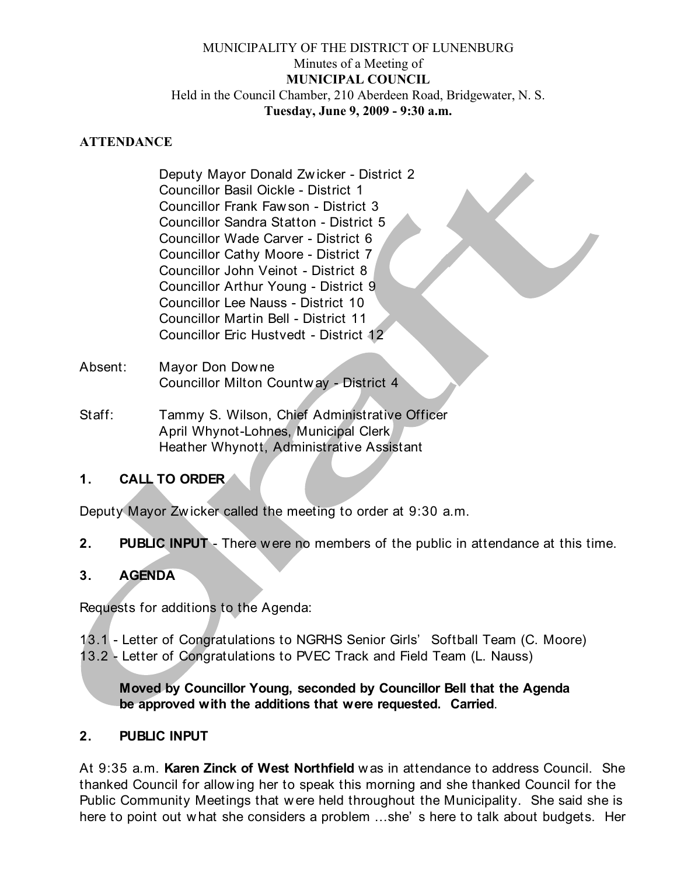#### MUNICIPALITY OF THE DISTRICT OF LUNENBURG Minutes of a Meeting of **MUNICIPAL COUNCIL** Held in the Council Chamber, 210 Aberdeen Road, Bridgewater, N. S. **Tuesday, June 9, 2009 - 9:30 a.m.**

#### **ATTENDANCE**

Deputy Mayor Donald Zw icker - District 2 Councillor Basil Oickle - District 1 Councillor Frank Faw son - District 3 Councillor Sandra Statton - District 5 Councillor Wade Carver - District 6 Councillor Cathy Moore - District 7 Councillor John Veinot - District 8 Councillor Arthur Young - District 9 Councillor Lee Nauss - District 10 Councillor Martin Bell - District 11 Councillor Eric Hustvedt - District 12

- Absent: Mayor Don Dow ne Councillor Milton Countw ay - District 4
- Staff: Tammy S. Wilson, Chief Administrative Officer April Whynot-Lohnes, Municipal Clerk Heather Whynott, Administrative Assistant

## **1. CALL TO ORDER**

Deputy Mayor Zw icker called the meeting to order at 9:30 a.m.

**2. PUBLIC INPUT** - There were no members of the public in attendance at this time.

## **3. AGENDA**

Requests for additions to the Agenda:

- 13.1 Letter of Congratulations to NGRHS Senior Girls' Softball Team (C. Moore)
- 13.2 Letter of Congratulations to PVEC Track and Field Team (L. Nauss)

**Moved by Councillor Young, seconded by Councillor Bell that the Agenda be approved with the additions that were requested. Carried**.

## **2. PUBLIC INPUT**

At 9:35 a.m. **Karen Zinck of West Northfield** w as in attendance to address Council. She thanked Council for allow ing her to speak this morning and she thanked Council for the Public Community Meetings that w ere held throughout the Municipality. She said she is here to point out w hat she considers a problem ...she' s here to talk about budgets. Her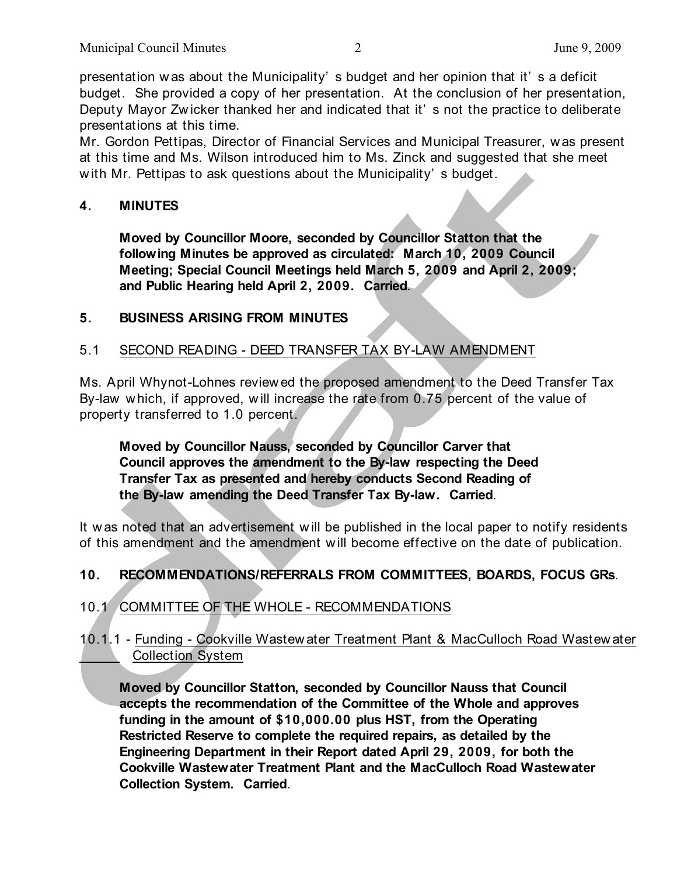presentation w as about the Municipality' s budget and her opinion that it' s a deficit budget. She provided a copy of her presentation. At the conclusion of her presentation, Deputy Mayor Zw icker thanked her and indicated that it' s not the practice to deliberate presentations at this time.

Mr. Gordon Pettipas, Director of Financial Services and Municipal Treasurer, w as present at this time and Ms. Wilson introduced him to Ms. Zinck and suggested that she meet with Mr. Pettipas to ask questions about the Municipality's budget.

#### **4. MINUTES**

**Moved by Councillor Moore, seconded by Councillor Statton that the following Minutes be approved as circulated: March 10, 2009 Council Meeting; Special Council Meetings held March 5, 2009 and April 2, 2009; and Public Hearing held April 2, 2009. Carried**.

#### **5. BUSINESS ARISING FROM MINUTES**

#### 5.1 SECOND READING - DEED TRANSFER TAX BY-LAW AMENDMENT

Ms. April Whynot-Lohnes review ed the proposed amendment to the Deed Transfer Tax By-law w hich, if approved, w ill increase the rate from 0.75 percent of the value of property transferred to 1.0 percent.

**Moved by Councillor Nauss, seconded by Councillor Carver that Council approves the amendment to the By-law respecting the Deed Transfer Tax as presented and hereby conducts Second Reading of the By-law amending the Deed Transfer Tax By-law. Carried**.

It w as noted that an advertisement w ill be published in the local paper to notify residents of this amendment and the amendment w ill become effective on the date of publication.

## **10. RECOMMENDATIONS/REFERRALS FROM COMMITTEES, BOARDS, FOCUS GRs**.

## 10.1 COMMITTEE OF THE WHOLE - RECOMMENDATIONS

10.1.1 - Funding - Cookville Wastew ater Treatment Plant & MacCulloch Road Wastew ater Collection System

**Moved by Councillor Statton, seconded by Councillor Nauss that Council accepts the recommendation of the Committee of the Whole and approves funding in the amount of \$10,000.00 plus HST, from the Operating Restricted Reserve to complete the required repairs, as detailed by the Engineering Department in their Report dated April 29, 2009, for both the Cookville Wastewater Treatment Plant and the MacCulloch Road Wastewater Collection System. Carried**.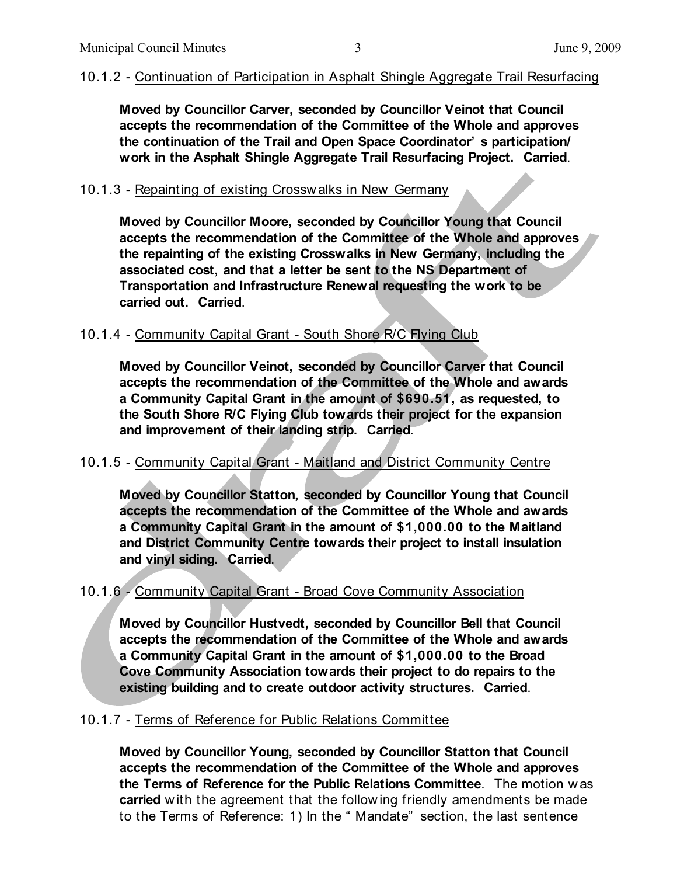#### 10.1.2 - Continuation of Participation in Asphalt Shingle Aggregate Trail Resurfacing

**Moved by Councillor Carver, seconded by Councillor Veinot that Council accepts the recommendation of the Committee of the Whole and approves the continuation of the Trail and Open Space Coordinator' s participation/ work in the Asphalt Shingle Aggregate Trail Resurfacing Project. Carried**.

#### 10.1.3 - Repainting of existing Crossw alks in New Germany

**Moved by Councillor Moore, seconded by Councillor Young that Council accepts the recommendation of the Committee of the Whole and approves the repainting of the existing Crosswalks in New Germany, including the associated cost, and that a letter be sent to the NS Department of Transportation and Infrastructure Renewal requesting the work to be carried out. Carried**.

#### 10.1.4 - Community Capital Grant - South Shore R/C Flying Club

**Moved by Councillor Veinot, seconded by Councillor Carver that Council accepts the recommendation of the Committee of the Whole and awards a Community Capital Grant in the amount of \$690.51, as requested, to the South Shore R/C Flying Club towards their project for the expansion and improvement of their landing strip. Carried**.

#### 10.1.5 - Community Capital Grant - Maitland and District Community Centre

**Moved by Councillor Statton, seconded by Councillor Young that Council accepts the recommendation of the Committee of the Whole and awards a Community Capital Grant in the amount of \$1,000.00 to the Maitland and District Community Centre towards their project to install insulation and vinyl siding. Carried**.

#### 10.1.6 - Community Capital Grant - Broad Cove Community Association

**Moved by Councillor Hustvedt, seconded by Councillor Bell that Council accepts the recommendation of the Committee of the Whole and awards a Community Capital Grant in the amount of \$1,000.00 to the Broad Cove Community Association towards their project to do repairs to the existing building and to create outdoor activity structures. Carried**.

#### 10.1.7 - Terms of Reference for Public Relations Committee

**Moved by Councillor Young, seconded by Councillor Statton that Council accepts the recommendation of the Committee of the Whole and approves the Terms of Reference for the Public Relations Committee**. The motion w as **carried** with the agreement that the following friendly amendments be made to the Terms of Reference: 1) In the " Mandate" section, the last sentence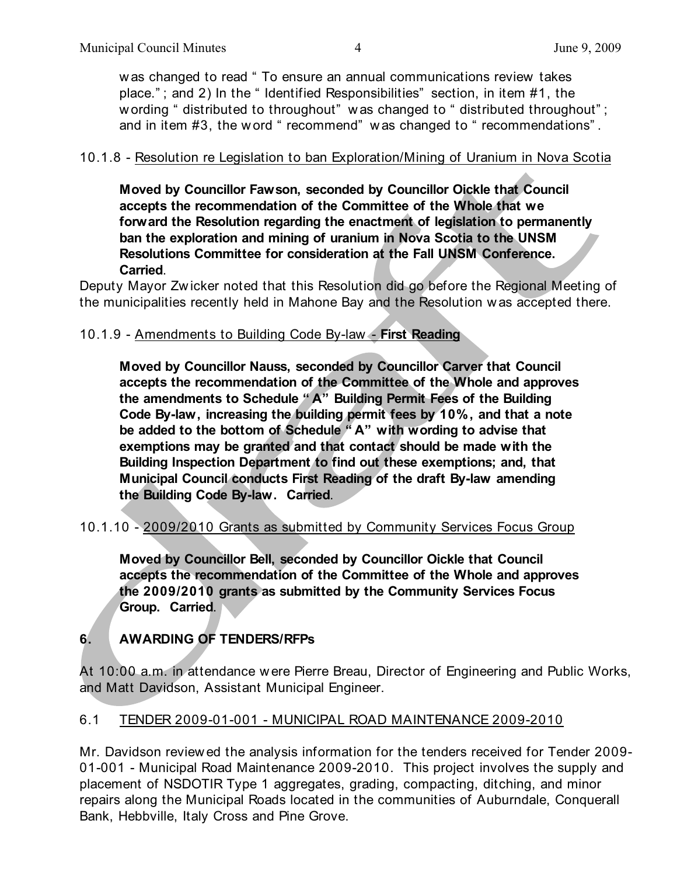w as changed to read " To ensure an annual communications review takes place." ; and 2) In the " Identified Responsibilities" section, in item #1, the w ording " distributed to throughout" was changed to " distributed throughout"; and in item #3, the word " recommend" was changed to " recommendations".

#### 10.1.8 - Resolution re Legislation to ban Exploration/Mining of Uranium in Nova Scotia

**Moved by Councillor Fawson, seconded by Councillor Oickle that Council accepts the recommendation of the Committee of the Whole that we forward the Resolution regarding the enactment of legislation to permanently ban the exploration and mining of uranium in Nova Scotia to the UNSM Resolutions Committee for consideration at the Fall UNSM Conference. Carried**.

Deputy Mayor Zw icker noted that this Resolution did go before the Regional Meeting of the municipalities recently held in Mahone Bay and the Resolution w as accepted there.

#### 10.1.9 - Amendments to Building Code By-law - **First Reading**

**Moved by Councillor Nauss, seconded by Councillor Carver that Council accepts the recommendation of the Committee of the Whole and approves the amendments to Schedule " A" Building Permit Fees of the Building Code By-law, increasing the building permit fees by 10%, and that a note be added to the bottom of Schedule " A" with wording to advise that exemptions may be granted and that contact should be made with the Building Inspection Department to find out these exemptions; and, that Municipal Council conducts First Reading of the draft By-law amending the Building Code By-law. Carried**.

#### 10.1.10 - 2009/2010 Grants as submitted by Community Services Focus Group

**Moved by Councillor Bell, seconded by Councillor Oickle that Council accepts the recommendation of the Committee of the Whole and approves the 2009/2010 grants as submitted by the Community Services Focus Group. Carried**.

# **6. AWARDING OF TENDERS/RFPs**

At 10:00 a.m. in attendance w ere Pierre Breau, Director of Engineering and Public Works, and Matt Davidson, Assistant Municipal Engineer.

## 6.1 TENDER 2009-01-001 - MUNICIPAL ROAD MAINTENANCE 2009-2010

Mr. Davidson review ed the analysis information for the tenders received for Tender 2009- 01-001 - Municipal Road Maintenance 2009-2010. This project involves the supply and placement of NSDOTIR Type 1 aggregates, grading, compacting, ditching, and minor repairs along the Municipal Roads located in the communities of Auburndale, Conquerall Bank, Hebbville, Italy Cross and Pine Grove.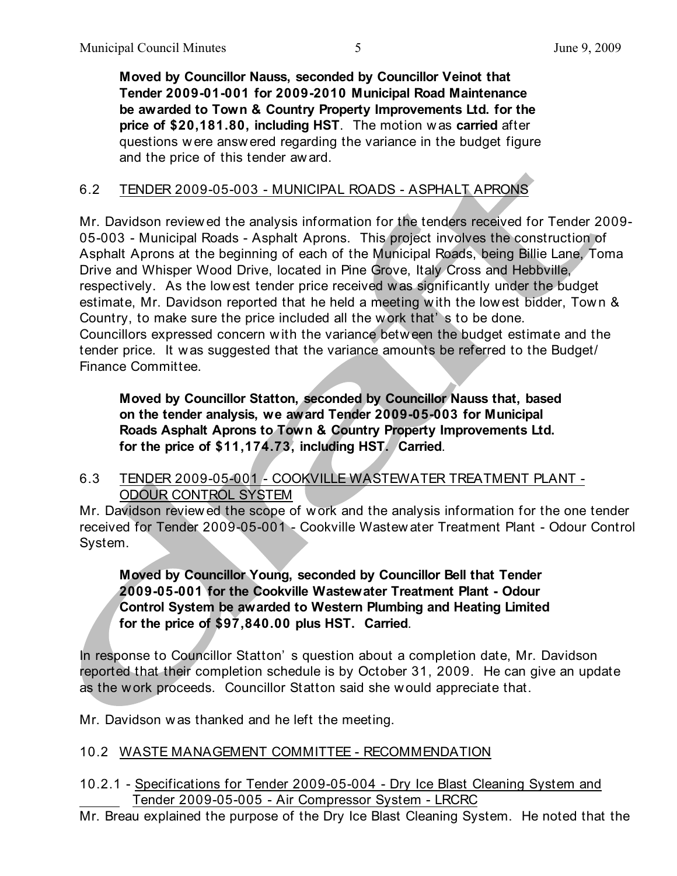**Moved by Councillor Nauss, seconded by Councillor Veinot that Tender 2009-01-001 for 2009-2010 Municipal Road Maintenance be awarded to Town & Country Property Improvements Ltd. for the price of \$20,181.80, including HST**. The motion w as **carried** after questions w ere answ ered regarding the variance in the budget figure and the price of this tender aw ard.

## 6.2 TENDER 2009-05-003 - MUNICIPAL ROADS - ASPHALT APRONS

Mr. Davidson review ed the analysis information for the tenders received for Tender 2009- 05-003 - Municipal Roads - Asphalt Aprons. This project involves the construction of Asphalt Aprons at the beginning of each of the Municipal Roads, being Billie Lane, Toma Drive and Whisper Wood Drive, located in Pine Grove, Italy Cross and Hebbville, respectively. As the low est tender price received w as significantly under the budget estimate, Mr. Davidson reported that he held a meeting w ith the low est bidder, Tow n & Country, to make sure the price included all the work that's to be done. Councillors expressed concern w ith the variance betw een the budget estimate and the tender price. It w as suggested that the variance amounts be referred to the Budget/ Finance Committee.

**Moved by Councillor Statton, seconded by Councillor Nauss that, based on the tender analysis, we award Tender 2009-05-003 for Municipal Roads Asphalt Aprons to Town & Country Property Improvements Ltd. for the price of \$11,174.73, including HST. Carried**.

6.3 TENDER 2009-05-001 - COOKVILLE WASTEWATER TREATMENT PLANT - ODOUR CONTROL SYSTEM

Mr. Davidson review ed the scope of w ork and the analysis information for the one tender received for Tender 2009-05-001 - Cookville Wastew ater Treatment Plant - Odour Control System.

**Moved by Councillor Young, seconded by Councillor Bell that Tender 2009-05-001 for the Cookville Wastewater Treatment Plant - Odour Control System be awarded to Western Plumbing and Heating Limited for the price of \$97,840.00 plus HST. Carried**.

In response to Councillor Statton' s question about a completion date, Mr. Davidson reported that their completion schedule is by October 31, 2009. He can give an update as the work proceeds. Councillor Statton said she would appreciate that.

Mr. Davidson was thanked and he left the meeting.

## 10.2 WASTE MANAGEMENT COMMITTEE - RECOMMENDATION

10.2.1 - Specifications for Tender 2009-05-004 - Dry Ice Blast Cleaning System and Tender 2009-05-005 - Air Compressor System - LRCRC

Mr. Breau explained the purpose of the Dry Ice Blast Cleaning System. He noted that the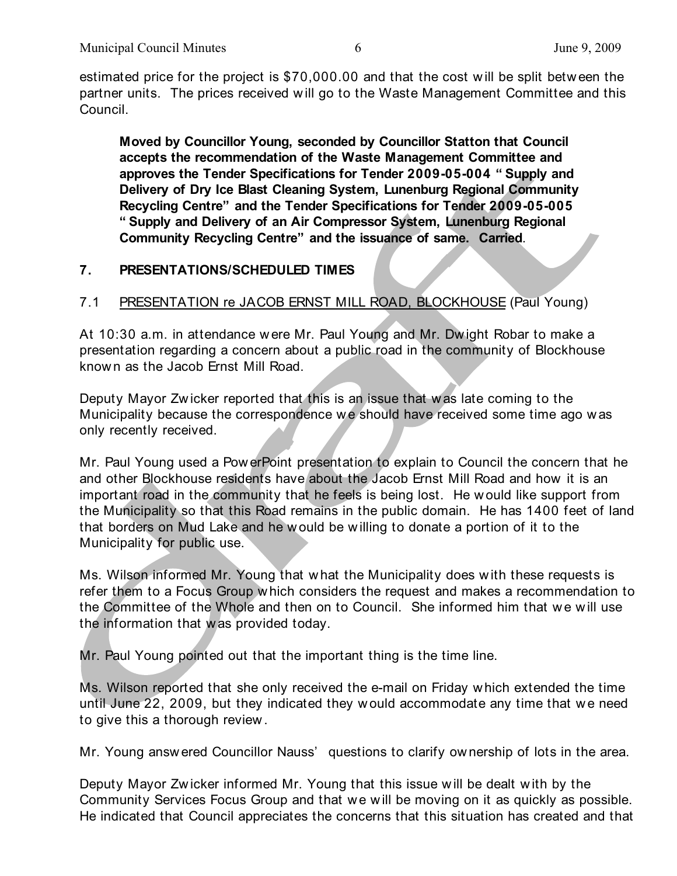estimated price for the project is \$70,000.00 and that the cost w ill be split betw een the partner units. The prices received w ill go to the Waste Management Committee and this Council.

**Moved by Councillor Young, seconded by Councillor Statton that Council accepts the recommendation of the Waste Management Committee and approves the Tender Specifications for Tender 2009-05-004 " Supply and Delivery of Dry Ice Blast Cleaning System, Lunenburg Regional Community Recycling Centre" and the Tender Specifications for Tender 2009-05-005 " Supply and Delivery of an Air Compressor System, Lunenburg Regional Community Recycling Centre" and the issuance of same. Carried**.

# **7. PRESENTATIONS/SCHEDULED TIMES**

## 7.1 PRESENTATION re JACOB ERNST MILL ROAD, BLOCKHOUSE (Paul Young)

At 10:30 a.m. in attendance were Mr. Paul Young and Mr. Dw ight Robar to make a presentation regarding a concern about a public road in the community of Blockhouse know n as the Jacob Ernst Mill Road.

Deputy Mayor Zw icker reported that this is an issue that w as late coming to the Municipality because the correspondence we should have received some time ago w as only recently received.

Mr. Paul Young used a Pow erPoint presentation to explain to Council the concern that he and other Blockhouse residents have about the Jacob Ernst Mill Road and how it is an important road in the community that he feels is being lost. He w ould like support from the Municipality so that this Road remains in the public domain. He has 1400 feet of land that borders on Mud Lake and he w ould be w illing to donate a portion of it to the Municipality for public use.

Ms. Wilson informed Mr. Young that w hat the Municipality does w ith these requests is refer them to a Focus Group which considers the request and makes a recommendation to the Committee of the Whole and then on to Council. She informed him that we will use the information that w as provided today.

Mr. Paul Young pointed out that the important thing is the time line.

Ms. Wilson reported that she only received the e-mail on Friday w hich extended the time until June 22, 2009, but they indicated they w ould accommodate any time that w e need to give this a thorough review .

Mr. Young answ ered Councillor Nauss' questions to clarify ow nership of lots in the area.

Deputy Mayor Zw icker informed Mr. Young that this issue w ill be dealt w ith by the Community Services Focus Group and that we will be moving on it as quickly as possible. He indicated that Council appreciates the concerns that this situation has created and that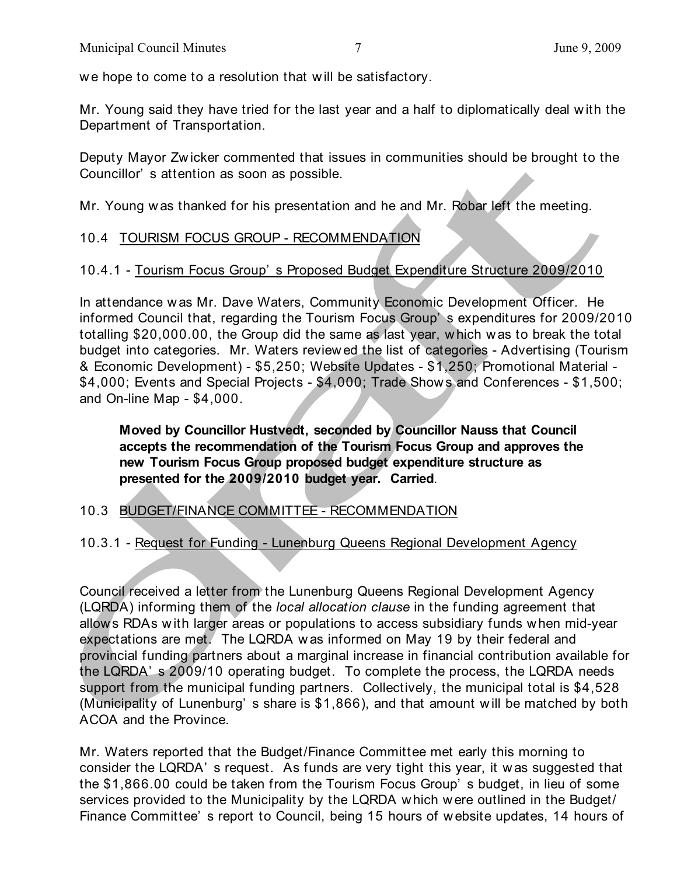we hope to come to a resolution that will be satisfactory.

Mr. Young said they have tried for the last year and a half to diplomatically deal w ith the Department of Transportation.

Deputy Mayor Zw icker commented that issues in communities should be brought to the Councillor' s attention as soon as possible.

Mr. Young w as thanked for his presentation and he and Mr. Robar left the meeting.

# 10.4 TOURISM FOCUS GROUP - RECOMMENDATION

# 10.4.1 - Tourism Focus Group' s Proposed Budget Expenditure Structure 2009/2010

In attendance w as Mr. Dave Waters, Community Economic Development Officer. He informed Council that, regarding the Tourism Focus Group' s expenditures for 2009/2010 totalling \$20,000.00, the Group did the same as last year, w hich w as to break the total budget into categories. Mr. Waters review ed the list of categories - Advertising (Tourism & Economic Development) - \$5,250; Website Updates - \$1,250; Promotional Material - \$4,000; Events and Special Projects - \$4,000; Trade Show s and Conferences - \$1,500; and On-line Map - \$4,000.

**Moved by Councillor Hustvedt, seconded by Councillor Nauss that Council accepts the recommendation of the Tourism Focus Group and approves the new Tourism Focus Group proposed budget expenditure structure as presented for the 2009/2010 budget year. Carried**.

## 10.3 BUDGET/FINANCE COMMITTEE - RECOMMENDATION

10.3.1 - Request for Funding - Lunenburg Queens Regional Development Agency

Council received a letter from the Lunenburg Queens Regional Development Agency (LQRDA) informing them of the *local allocation clause* in the funding agreement that allow s RDAs w ith larger areas or populations to access subsidiary funds w hen mid-year expectations are met. The LQRDA w as informed on May 19 by their federal and provincial funding partners about a marginal increase in financial contribution available for the LQRDA' s 2009/10 operating budget. To complete the process, the LQRDA needs support from the municipal funding partners. Collectively, the municipal total is \$4,528 (Municipality of Lunenburg' s share is \$1,866), and that amount w ill be matched by both ACOA and the Province.

Mr. Waters reported that the Budget/Finance Committee met early this morning to consider the LQRDA' s request. As funds are very tight this year, it w as suggested that the \$1,866.00 could be taken from the Tourism Focus Group' s budget, in lieu of some services provided to the Municipality by the LQRDA w hich w ere outlined in the Budget/ Finance Committee' s report to Council, being 15 hours of w ebsite updates, 14 hours of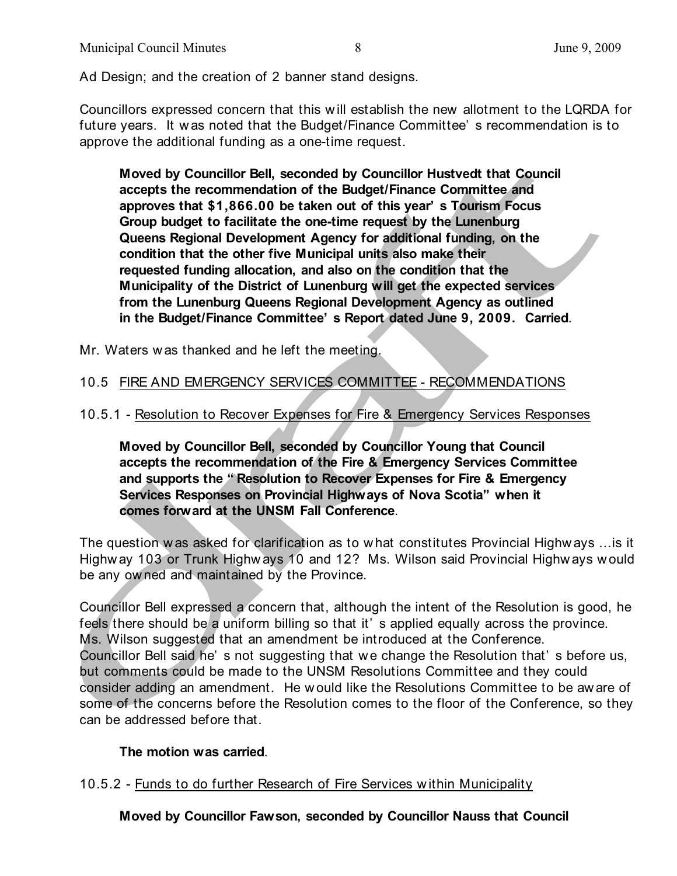Ad Design; and the creation of 2 banner stand designs.

Councillors expressed concern that this w ill establish the new allotment to the LQRDA for future years. It w as noted that the Budget/Finance Committee' s recommendation is to approve the additional funding as a one-time request.

**Moved by Councillor Bell, seconded by Councillor Hustvedt that Council accepts the recommendation of the Budget/Finance Committee and approves that \$1,866.00 be taken out of this year' s Tourism Focus Group budget to facilitate the one-time request by the Lunenburg Queens Regional Development Agency for additional funding, on the condition that the other five Municipal units also make their requested funding allocation, and also on the condition that the Municipality of the District of Lunenburg will get the expected services from the Lunenburg Queens Regional Development Agency as outlined in the Budget/Finance Committee' s Report dated June 9, 2009. Carried**.

Mr. Waters w as thanked and he left the meeting.

## 10.5 FIRE AND EMERGENCY SERVICES COMMITTEE - RECOMMENDATIONS

10.5.1 - Resolution to Recover Expenses for Fire & Emergency Services Responses

**Moved by Councillor Bell, seconded by Councillor Young that Council accepts the recommendation of the Fire & Emergency Services Committee and supports the " Resolution to Recover Expenses for Fire & Emergency Services Responses on Provincial Highways of Nova Scotia" when it comes forward at the UNSM Fall Conference**.

The question w as asked for clarification as to w hat constitutes Provincial Highw ays ...is it Highw ay 103 or Trunk Highw ays 10 and 12? Ms. Wilson said Provincial Highw ays w ould be any ow ned and maintained by the Province.

Councillor Bell expressed a concern that, although the intent of the Resolution is good, he feels there should be a uniform billing so that it' s applied equally across the province. Ms. Wilson suggested that an amendment be introduced at the Conference. Councillor Bell said he's not suggesting that we change the Resolution that's before us, but comments could be made to the UNSM Resolutions Committee and they could consider adding an amendment. He w ould like the Resolutions Committee to be aw are of some of the concerns before the Resolution comes to the floor of the Conference, so they can be addressed before that.

#### **The motion was carried**.

10.5.2 - Funds to do further Research of Fire Services w ithin Municipality

**Moved by Councillor Fawson, seconded by Councillor Nauss that Council**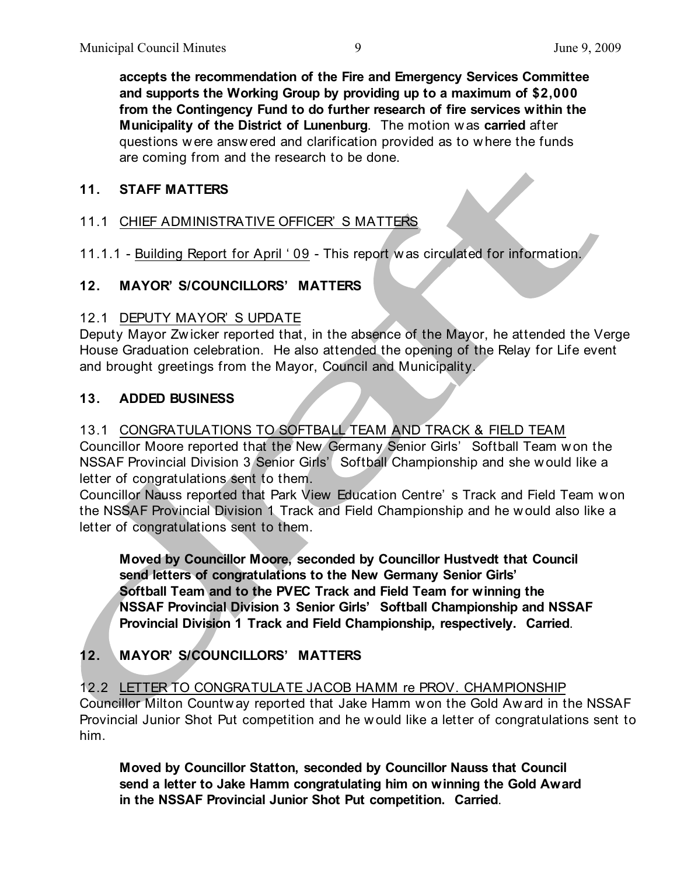**accepts the recommendation of the Fire and Emergency Services Committee and supports the Working Group by providing up to a maximum of \$2,000 from the Contingency Fund to do further research of fire services within the Municipality of the District of Lunenburg**. The motion w as **carried** after questions w ere answ ered and clarification provided as to w here the funds are coming from and the research to be done.

#### **11. STAFF MATTERS**

## 11.1 CHIEF ADMINISTRATIVE OFFICER' S MATTERS

11.1.1 - Building Report for April ' 09 - This report w as circulated for information.

## **12. MAYOR' S/COUNCILLORS' MATTERS**

#### 12.1 DEPUTY MAYOR' S UPDATE

Deputy Mayor Zw icker reported that, in the absence of the Mayor, he attended the Verge House Graduation celebration. He also attended the opening of the Relay for Life event and brought greetings from the Mayor, Council and Municipality.

#### **13. ADDED BUSINESS**

## 13.1 CONGRATULATIONS TO SOFTBALL TEAM AND TRACK & FIELD TEAM

Councillor Moore reported that the New Germany Senior Girls' Softball Team w on the NSSAF Provincial Division 3 Senior Girls' Softball Championship and she would like a letter of congratulations sent to them.

Councillor Nauss reported that Park View Education Centre' s Track and Field Team w on the NSSAF Provincial Division 1 Track and Field Championship and he would also like a letter of congratulations sent to them.

**Moved by Councillor Moore, seconded by Councillor Hustvedt that Council send letters of congratulations to the New Germany Senior Girls' Softball Team and to the PVEC Track and Field Team for winning the NSSAF Provincial Division 3 Senior Girls' Softball Championship and NSSAF Provincial Division 1 Track and Field Championship, respectively. Carried**.

# **12. MAYOR' S/COUNCILLORS' MATTERS**

12.2 LETTER TO CONGRATULATE JACOB HAMM re PROV. CHAMPIONSHIP

Councillor Milton Countw ay reported that Jake Hamm w on the Gold Aw ard in the NSSAF Provincial Junior Shot Put competition and he w ould like a letter of congratulations sent to him.

**Moved by Councillor Statton, seconded by Councillor Nauss that Council send a letter to Jake Hamm congratulating him on winning the Gold Award in the NSSAF Provincial Junior Shot Put competition. Carried**.